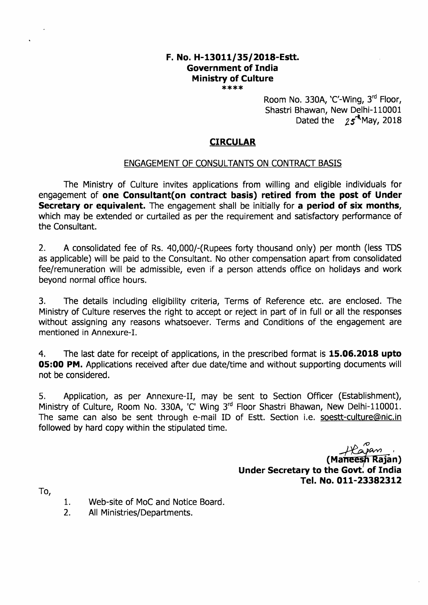# F. No. H-13011/35/2018-Estt. Government of India Ministry of Culture

\*\*\*\*

Room No. 330A,  $C'$ -Wing,  $3<sup>rd</sup>$  Floor, Shastri Bhawan, New Delhi-110001 Dated the  $25^{\frac{4}{3}}$ May, 2018

## CIRCULAR

#### ENGAGEMENT OF CONSULTANTS ON CONTRACT BASIS

The Ministry of Culture invites applications from willing and eligible individuals for engagement of one Consultant(on contract basis) retired from the post of Under Secretary or equivalent. The engagement shall be initially for a period of six months, which may be extended or curtailed as per the requirement and satisfactory performance of the Consultant.

2. <sup>A</sup>consolidated fee of Rs. 40,000/-(Rupees forty thousand only) per month (less TDS as applicable) will be paid to the Consultant. No other compensation apart from consolidated fee/remuneration will be admissible, even if a person attends office on holidays and work beyond normal office hours.

3. The details including eligibility criteria, Terms of Reference etc. are enclosed. The Ministry of Culture reserves the right to accept or reject in part of in full or all the responses without assigning any reasons whatsoever. Terms and Conditions of the engagement are mentioned in Annexure-I.

4. The last date for receipt of applications, in the prescribed format is **15.06.2018 upto** O5:OO PM. Applications received after due date/time and without supporting documents will not be considered.

5. Application, as per Annexure-Il, may be sent to Section Officer (Establishment), Ministry of Culture, Room No. 330A, 'C' Wing 3<sup>rd</sup> Floor Shastri Bhawan, New Delhi-110001. The same can also be sent through e-mail ID of Estt. Section i.e. soestt-culture@nic.in followed by hard copy within the stipulated time.

> *سموکی کے بہر*<br>(Maneesh Rajan)<br>Under Secretary to the Govt. of India Tel. No. 011-23382312

To,

- 1. Web-site of MoC and Notice Board.
- 2. All Ministries/Departments.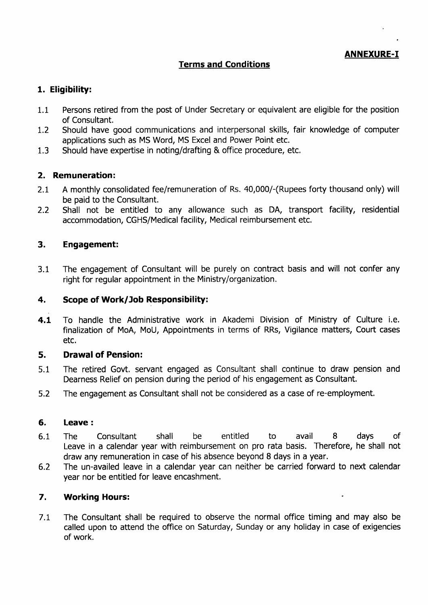ANNEXURE-I

#### Terms and Conditions

#### 1. Eligibility:

- 1.1 Persons retired from the post of Under Secretary or equivalent are eligible for the position of Consultant.
- 7.2 Should have good communications and interpersonal skills, fair knowledge of computer applications such as MS Word, MS Excel and Power Point etc.
- 1.3 Should have expertise in noting/drafting & office procedure, etc.

#### 2. Remuneration:

- 2.1 A monthly consolidated fee/remuneration of Rs. 40,000/-(Rupees forty thousand only) will be paid to the Consultant.
- 2.2 Shall not be entitled to any allowance such as DA, transport facility, residential accommodation, CGHS/Medical facility, Medical reimbursement etc.

#### 3. Engagement:

3,1 The engagement of Consultant will be purely on contract basis and will not confer any right for regular appointment in the Ministry/organization.

#### 4. Scope of Work/Job Responsibility:

4.1 To handle the Administrative work in Akademi Division of Ministry of Culture i.e. finalization of MoA, MoU, Appointments in terms of RRs, Vigilance matters, Court cases etc.

#### 5, Drawal of Pension:

- 5.1 The retired Govt. servant engaged as Consultant shall continue to draw pension and Dearness Relief on pension during the period of his engagement as Consultant.
- 5,2 The engagement as Consultant shall not be considered as a case of re-employment.

#### 6. Leave:

- 6.1 The Consultant shall be entitled to avail 8 days of Leave in a calendar year with reimbursement on pro rata basis. Therefore, he shall not draw any remuneration in case of his absence beyond 8 days in a year,
- 6,2 The un-availed leave in a calendar year can neither be carried forward to next calendar year nor be entitled for leave encashment.

#### 7. Working Hours:

7,L The Consultant shall be required to observe the normal office timing and may also be called upon to attend the office on Saturday, Sunday or any holiday in case of exigencies of work.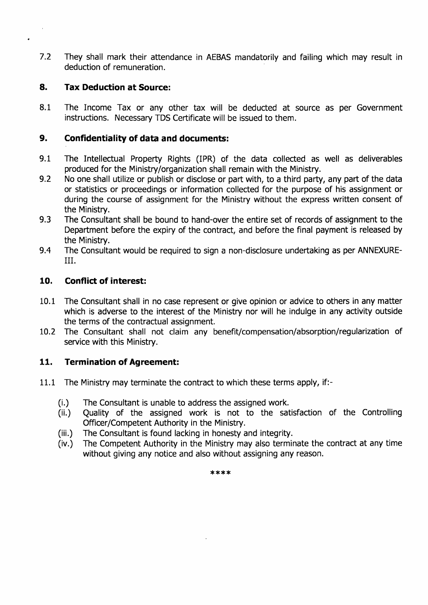7.2 They shall mark their attendance in AEBAS mandatorily and failing which may result in deduction of remuneration.

#### 8. Tax Deduction at Source:

8.1 The Income Tax or any other tax will be deducted at source as per Government instructions. Necessary TDS Certificate will be issued to them,

#### 9. Confidentiality of data and documents:

- 9.1 The Intellectual Property Rights (IPR) of the data collected as well as deliverables produced for the Ministry/organization shall remain with the Ministry.
- 9.2 No one shall utilize or publish or disclose or part with, to a third party, any part of the data or statistics or proceedings or information collected for the purpose of his assignment or during the course of assignment for the Ministry without the express written consent of the Ministry.
- 9.3 The Consultant shall be bound to hand-over the entire set of records of assignment to the Department before the expiry of the contract, and before the final payment is released by the Ministry.
- 9.4 The Consultant would be required to sign a non-disclosure undertaking as per ANNEXUREil.

#### 10. Conflict of interest:

- 10.1 The Consultant shall in no case represent or give opinion or advice to others in any matter which is adverse to the interest of the Ministry nor will he indulge in any activity outside the terms of the contractual assignment.
- 10.2 The Consultant shall not claim any benefit/compensation/absorption/regularization of service with this Ministry.

### 11. Termination of Agreement:

- 11.1 The Ministry may terminate the contract to which these terms apply, if:-
	-
	- (i.) The Consultant is unable to address the assigned work. (ii.) Quality of the assigned work is not to the satisfaction of the Controlling Officer/Competent Authority in the Ministry.
	- (iii.) The Consultant is found lacking in honesty and integrity.
	- (iv.) The Competent Authority in the Ministry may also terminate the contract at any time without giving any notice and also without assigning any reason.

 $***$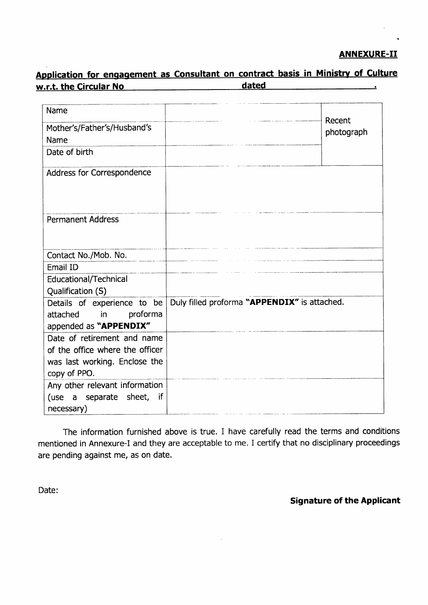## ANNEXURE-II

# Application for engagement as Consultant on contract basis in Ministry of Culture<br>w.r.t. the Circular No<br>example ated

| Name<br>Mother's/Father's/Husband's                                                 |                                              | Recent     |
|-------------------------------------------------------------------------------------|----------------------------------------------|------------|
| Name                                                                                |                                              | photograph |
| Date of birth                                                                       |                                              |            |
| Address for Correspondence                                                          |                                              |            |
| <b>Permanent Address</b>                                                            |                                              |            |
| Contact No./Mob. No.                                                                |                                              |            |
| Email ID                                                                            |                                              |            |
| Educational/Technical                                                               |                                              |            |
| Qualification (S)                                                                   |                                              |            |
| Details of experience to be<br>proforma<br>attached<br>in<br>appended as "APPENDIX" | Duly filled proforma "APPENDIX" is attached. |            |
| Date of retirement and name                                                         |                                              |            |
| of the office where the officer                                                     |                                              |            |
| was last working. Enclose the                                                       |                                              |            |
| copy of PPO.                                                                        |                                              |            |
| Any other relevant information                                                      |                                              |            |
| (use a separate sheet, if<br>necessary)                                             |                                              |            |

The information furnished above is true. I have carefully read the terms and conditions mentioned in Annexure-I and they are acceptable to me. I certify that no disciplinary proceedings are pending against me, as on date.

Date:

Signature of the Applicant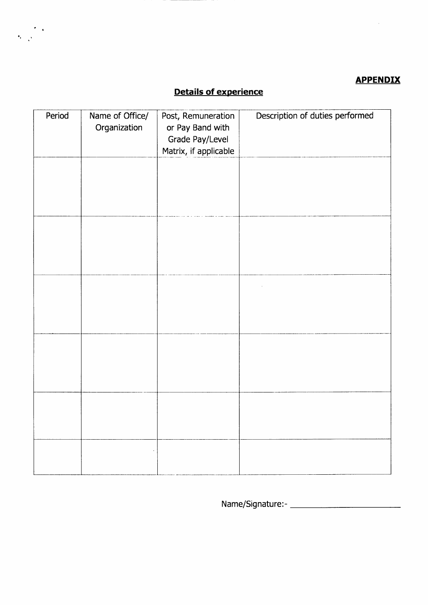## **APPENDIX**

 $\bar{z}$ 

# Details of experience

 $\label{eq:2} \frac{\partial}{\partial t} = \frac{1}{\sqrt{2}} \frac{1}{\sqrt{2}} \frac{1}{\sqrt{2}} \frac{1}{\sqrt{2}} \frac{1}{\sqrt{2}} \frac{1}{\sqrt{2}} \frac{1}{\sqrt{2}} \frac{1}{\sqrt{2}} \frac{1}{\sqrt{2}} \frac{1}{\sqrt{2}} \frac{1}{\sqrt{2}} \frac{1}{\sqrt{2}} \frac{1}{\sqrt{2}} \frac{1}{\sqrt{2}} \frac{1}{\sqrt{2}} \frac{1}{\sqrt{2}} \frac{1}{\sqrt{2}} \frac{1}{\sqrt{2}} \frac{1}{\sqrt{2}} \frac{1}{\sqrt{2}} \frac{$ 

| Period | Name of Office/<br>Organization | Post, Remuneration<br>or Pay Band with<br>Grade Pay/Level<br>Matrix, if applicable | Description of duties performed |
|--------|---------------------------------|------------------------------------------------------------------------------------|---------------------------------|
|        |                                 |                                                                                    |                                 |
|        |                                 |                                                                                    |                                 |
|        |                                 |                                                                                    |                                 |
|        |                                 |                                                                                    |                                 |
|        |                                 |                                                                                    |                                 |
|        |                                 |                                                                                    |                                 |
|        |                                 |                                                                                    |                                 |

Name/Signature:-